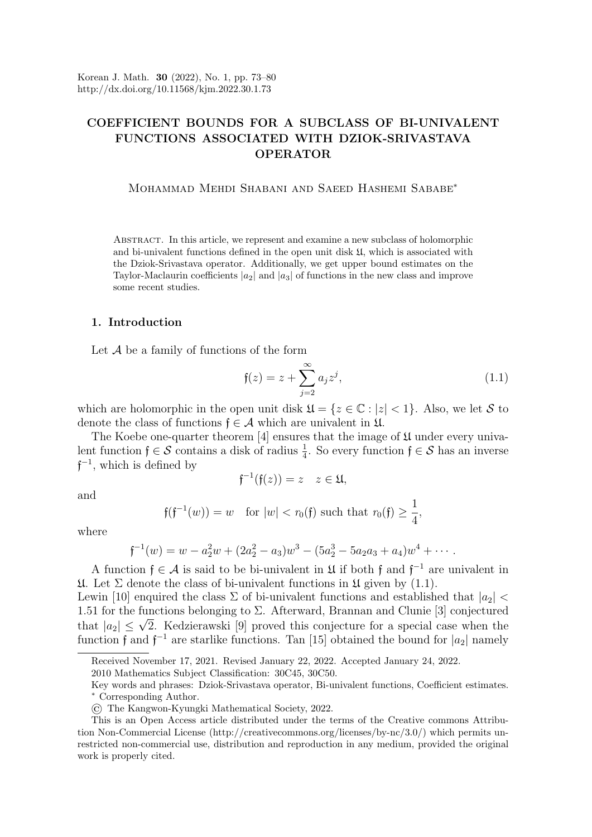# COEFFICIENT BOUNDS FOR A SUBCLASS OF BI-UNIVALENT FUNCTIONS ASSOCIATED WITH DZIOK-SRIVASTAVA OPERATOR

Mohammad Mehdi Shabani and Saeed Hashemi Sababe<sup>∗</sup>

Abstract. In this article, we represent and examine a new subclass of holomorphic and bi-univalent functions defined in the open unit disk U, which is associated with the Dziok-Srivastava operator. Additionally, we get upper bound estimates on the Taylor-Maclaurin coefficients  $|a_2|$  and  $|a_3|$  of functions in the new class and improve some recent studies.

#### 1. Introduction

Let  $A$  be a family of functions of the form

<span id="page-0-0"></span>
$$
\mathfrak{f}(z) = z + \sum_{j=2}^{\infty} a_j z^j,
$$
\n(1.1)

,

which are holomorphic in the open unit disk  $\mathfrak{U} = \{z \in \mathbb{C} : |z| < 1\}$ . Also, we let S to denote the class of functions  $f \in \mathcal{A}$  which are univalent in  $\mathfrak{U}$ .

The Koebe one-quarter theorem  $[4]$  ensures that the image of  $\mathfrak U$  under every univalent function  $f \in \mathcal{S}$  contains a disk of radius  $\frac{1}{4}$ . So every function  $f \in \mathcal{S}$  has an inverse  $f^{-1}$ , which is defined by

 $\mathfrak{f}^{-1}(\mathfrak{f}(z)) = z \quad z \in \mathfrak{U},$ 

and

$$
\mathfrak{f}(\mathfrak{f}^{-1}(w)) = w \text{ for } |w| < r_0(\mathfrak{f}) \text{ such that } r_0(\mathfrak{f}) \ge \frac{1}{4}
$$

where

$$
f^{-1}(w) = w - a_2^2 w + (2a_2^2 - a_3)w^3 - (5a_2^3 - 5a_2a_3 + a_4)w^4 + \cdots
$$

A function  $f \in \mathcal{A}$  is said to be bi-univalent in  $\mathfrak U$  if both f and  $f^{-1}$  are univalent in  $\mathfrak{U}$ . Let  $\Sigma$  denote the class of bi-univalent functions in  $\mathfrak{U}$  given by (1.[1\)](#page-0-0).

Lewin [\[10\]](#page-6-1) enquired the class  $\Sigma$  of bi-univalent functions and established that  $|a_2|$  < 1.51 for the functions belonging to  $\Sigma$ . Afterward, Brannan and Clunie [\[3\]](#page-6-2) conjectured 1.51 for the functions belonging to 2. Afterward, Brahman and Clume [5] conjectured<br>that  $|a_2| \leq \sqrt{2}$ . Kedzierawski [\[9\]](#page-6-3) proved this conjecture for a special case when the function f and  $f^{-1}$  are starlike functions. Tan [\[15\]](#page-6-4) obtained the bound for  $|a_2|$  namely

Received November 17, 2021. Revised January 22, 2022. Accepted January 24, 2022.

<sup>2010</sup> Mathematics Subject Classification: 30C45, 30C50.

Key words and phrases: Dziok-Srivastava operator, Bi-univalent functions, Coefficient estimates. <sup>∗</sup> Corresponding Author.

<sup>©</sup> The Kangwon-Kyungki Mathematical Society, 2022.

This is an Open Access article distributed under the terms of the Creative commons Attribution Non-Commercial License (http://creativecommons.org/licenses/by-nc/3.0/) which permits unrestricted non-commercial use, distribution and reproduction in any medium, provided the original work is properly cited.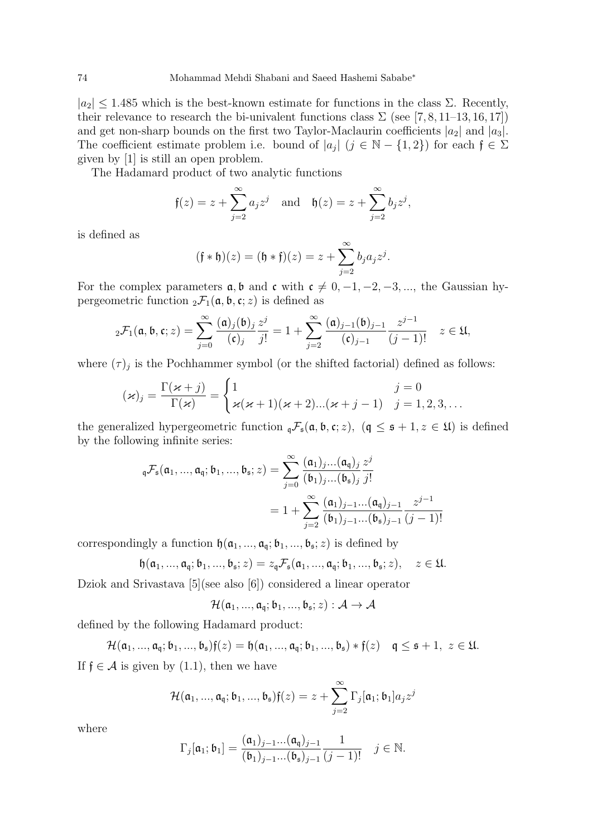$|a_2| \leq 1.485$  which is the best-known estimate for functions in the class  $\Sigma$ . Recently, their relevance to research the bi-univalent functions class  $\Sigma$  (see [\[7,](#page-6-5) [8,](#page-6-6) [11–](#page-6-7)[13,](#page-6-8) [16,](#page-6-9) [17\]](#page-6-10)) and get non-sharp bounds on the first two Taylor-Maclaurin coefficients  $|a_2|$  and  $|a_3|$ . The coefficient estimate problem i.e. bound of  $|a_j|$   $(j \in \mathbb{N} - \{1,2\})$  for each  $\mathfrak{f} \in \Sigma$ given by [\[1\]](#page-6-11) is still an open problem.

The Hadamard product of two analytic functions

$$
f(z) = z + \sum_{j=2}^{\infty} a_j z^j
$$
 and  $f(z) = z + \sum_{j=2}^{\infty} b_j z^j$ ,

is defined as

$$
(f * f)(z) = (f * f)(z) = z + \sum_{j=2}^{\infty} b_j a_j z^j.
$$

For the complex parameters  $a, b$  and  $c$  with  $c \neq 0, -1, -2, -3, \dots$ , the Gaussian hypergeometric function  ${}_2\mathcal{F}_1(\mathfrak{a}, \mathfrak{b}, \mathfrak{c}; z)$  is defined as

$$
{}_2\mathcal{F}_1(\mathfrak{a}, \mathfrak{b}, \mathfrak{c}; z) = \sum_{j=0}^{\infty} \frac{(\mathfrak{a})_j(\mathfrak{b})_j}{(\mathfrak{c})_j} \frac{z^j}{j!} = 1 + \sum_{j=2}^{\infty} \frac{(\mathfrak{a})_{j-1}(\mathfrak{b})_{j-1}}{(\mathfrak{c})_{j-1}} \frac{z^{j-1}}{(j-1)!} \quad z \in \mathfrak{U},
$$

where  $(\tau)_j$  is the Pochhammer symbol (or the shifted factorial) defined as follows:

$$
(\varkappa)_j = \frac{\Gamma(\varkappa + j)}{\Gamma(\varkappa)} = \begin{cases} 1 & j = 0 \\ \varkappa(\varkappa + 1)(\varkappa + 2)...(\varkappa + j - 1) & j = 1, 2, 3, ... \end{cases}
$$

the generalized hypergeometric function  ${}_{\mathfrak{q}}\mathcal{F}_{\mathfrak{s}}(\mathfrak{a}, \mathfrak{b}, \mathfrak{c}; z)$ ,  $(\mathfrak{q} \leq \mathfrak{s} + 1, z \in \mathfrak{U})$  is defined by the following infinite series:

$$
\begin{aligned} {}_{\mathfrak{q}}\mathcal{F}_{\mathfrak{s}}(\mathfrak{a}_1,...,\mathfrak{a}_{\mathfrak{q}};\mathfrak{b}_1,...,\mathfrak{b}_{\mathfrak{s}};z) &= \sum_{j=0}^{\infty} \frac{(\mathfrak{a}_1)_j...(\mathfrak{a}_{\mathfrak{q}})_j}{(\mathfrak{b}_1)_j...(\mathfrak{b}_{\mathfrak{s}})_j} \frac{z^j}{j!} \\ &= 1 + \sum_{j=2}^{\infty} \frac{(\mathfrak{a}_1)_{j-1}...(\mathfrak{a}_{\mathfrak{q}})_{j-1}}{(\mathfrak{b}_1)_{j-1}...(\mathfrak{b}_{\mathfrak{s}})_{j-1}} \frac{z^{j-1}}{(j-1)!} \end{aligned}
$$

correspondingly a function  $\mathfrak{h}(\mathfrak{a}_1, ..., \mathfrak{a}_{\mathfrak{q}}; \mathfrak{b}_1, ..., \mathfrak{b}_{\mathfrak{s}}; z)$  is defined by

$$
\mathfrak{h}(\mathfrak{a}_1,...,\mathfrak{a}_\mathfrak{q};\mathfrak{b}_1,...,\mathfrak{b}_\mathfrak{s};z)=z_\mathfrak{q}\mathcal{F}_\mathfrak{s}(\mathfrak{a}_1,...,\mathfrak{a}_\mathfrak{q};\mathfrak{b}_1,...,\mathfrak{b}_\mathfrak{s};z),\quad z\in\mathfrak{U}.
$$

Dziok and Srivastava [\[5\]](#page-6-12)(see also [\[6\]](#page-6-13)) considered a linear operator

$$
\mathcal{H}(\mathfrak{a}_1,...,\mathfrak{a}_\mathfrak{q};\mathfrak{b}_1,...,\mathfrak{b}_\mathfrak{s};z):\mathcal{A}\to\mathcal{A}
$$

defined by the following Hadamard product:

$$
\mathcal{H}(\mathfrak{a}_1, ..., \mathfrak{a}_\mathfrak{q}; \mathfrak{b}_1, ..., \mathfrak{b}_\mathfrak{s})f(z) = \mathfrak{h}(\mathfrak{a}_1, ..., \mathfrak{a}_\mathfrak{q}; \mathfrak{b}_1, ..., \mathfrak{b}_\mathfrak{s}) * f(z) \quad \mathfrak{q} \leq \mathfrak{s} + 1, \ z \in \mathfrak{U}.
$$
  
6.4 is given by (1.1), then we have

If  $f \in \mathcal{A}$  is given by (1.[1\)](#page-0-0), then we have

$$
\mathcal{H}(\mathfrak{a}_1,...,\mathfrak{a}_{\mathfrak{q}};\mathfrak{b}_1,...,\mathfrak{b}_{\mathfrak{s}})\mathfrak{f}(z)=z+\sum_{j=2}^{\infty}\Gamma_j[\mathfrak{a}_1;\mathfrak{b}_1]a_jz^j
$$

where

$$
\Gamma_j[\mathfrak{a}_1; \mathfrak{b}_1] = \frac{(\mathfrak{a}_1)_{j-1} \dots (\mathfrak{a}_{\mathfrak{q}})_{j-1}}{(\mathfrak{b}_1)_{j-1} \dots (\mathfrak{b}_{\mathfrak{s}})_{j-1}} \frac{1}{(j-1)!} \quad j \in \mathbb{N}.
$$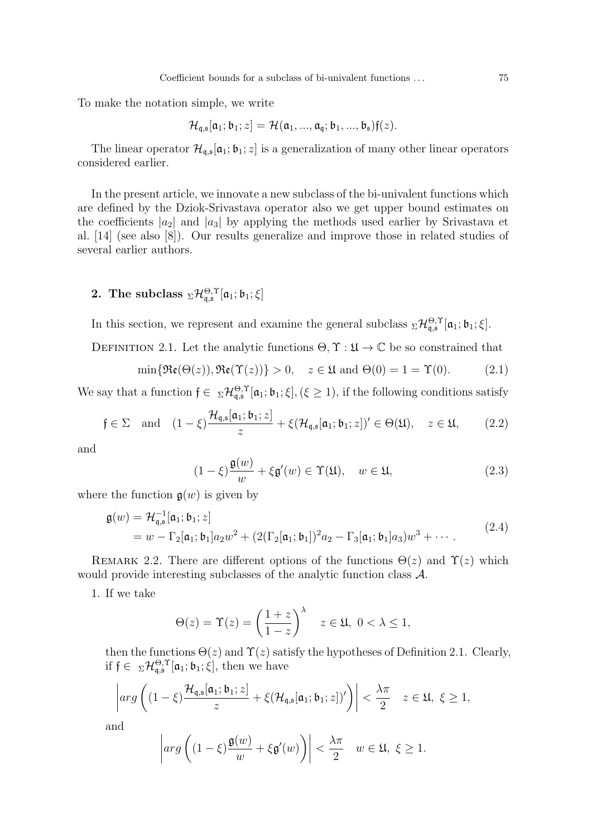To make the notation simple, we write

$$
\mathcal{H}_{\mathfrak{q},\mathfrak{s}}[\mathfrak{a}_1;\mathfrak{b}_1;z] = \mathcal{H}(\mathfrak{a}_1,...,\mathfrak{a}_\mathfrak{q};\mathfrak{b}_1,...,\mathfrak{b}_\mathfrak{s})\mathfrak{f}(z).
$$

The linear operator  $\mathcal{H}_{q,s}[\mathfrak{a}_1;\mathfrak{b}_1;z]$  is a generalization of many other linear operators considered earlier.

In the present article, we innovate a new subclass of the bi-univalent functions which are defined by the Dziok-Srivastava operator also we get upper bound estimates on the coefficients  $|a_2|$  and  $|a_3|$  by applying the methods used earlier by Srivastava et al. [\[14\]](#page-6-14) (see also [\[8\]](#page-6-6)). Our results generalize and improve those in related studies of several earlier authors.

# 2. The subclass  ${}_{\Sigma}\mathcal{H}_{\mathfrak{q},\mathfrak{s}}^{\Theta,\Upsilon}[\mathfrak{a}_1;\mathfrak{b}_1;\xi]$

In this section, we represent and examine the general subclass  ${}_{\Sigma}\mathcal{H}_{q,s}^{\Theta,\Upsilon}[\mathfrak{a}_1;\mathfrak{b}_1;\xi].$ 

<span id="page-2-0"></span>DEFINITION 2.1. Let the analytic functions  $\Theta, \Upsilon : \mathfrak{U} \to \mathbb{C}$  be so constrained that

<span id="page-2-4"></span>
$$
\min\{\mathfrak{Re}(\Theta(z)),\mathfrak{Re}(\Upsilon(z))\}>0,\quad z\in\mathfrak{U}\text{ and }\Theta(0)=1=\Upsilon(0). \tag{2.1}
$$

We say that a function  $f \in \Sigma \mathcal{H}_{\mathfrak{q},\mathfrak{s}}^{\Theta,\Upsilon}[\mathfrak{a}_1;\mathfrak{b}_1;\xi], (\xi \geq 1)$ , if the following conditions satisfy

<span id="page-2-1"></span>
$$
\mathfrak{f} \in \Sigma \quad \text{and} \quad (1-\xi) \frac{\mathcal{H}_{\mathfrak{q},\mathfrak{s}}[\mathfrak{a}_1;\mathfrak{b}_1;z]}{z} + \xi(\mathcal{H}_{\mathfrak{q},\mathfrak{s}}[\mathfrak{a}_1;\mathfrak{b}_1;z])' \in \Theta(\mathfrak{U}), \quad z \in \mathfrak{U}, \qquad (2.2)
$$

and

<span id="page-2-2"></span>
$$
(1 - \xi) \frac{\mathfrak{g}(w)}{w} + \xi \mathfrak{g}'(w) \in \Upsilon(\mathfrak{U}), \quad w \in \mathfrak{U}, \tag{2.3}
$$

where the function  $g(w)$  is given by

<span id="page-2-3"></span>
$$
\mathfrak{g}(w) = \mathcal{H}_{\mathfrak{q},\mathfrak{s}}^{-1}[\mathfrak{a}_1;\mathfrak{b}_1;z] \n= w - \Gamma_2[\mathfrak{a}_1;\mathfrak{b}_1]a_2w^2 + (2(\Gamma_2[\mathfrak{a}_1;\mathfrak{b}_1])^2a_2 - \Gamma_3[\mathfrak{a}_1;\mathfrak{b}_1]a_3)w^3 + \cdots
$$
\n(2.4)

REMARK 2.2. There are different options of the functions  $\Theta(z)$  and  $\Upsilon(z)$  which would provide interesting subclasses of the analytic function class A.

1. If we take

$$
\Theta(z) = \Upsilon(z) = \left(\frac{1+z}{1-z}\right)^\lambda \quad z \in \mathfrak{U}, \ 0 < \lambda \le 1,
$$

then the functions  $\Theta(z)$  and  $\Upsilon(z)$  satisfy the hypotheses of Definition [2.1.](#page-2-0) Clearly, if  $\mathfrak{f} \in \mathcal{L}^{\Theta,\Upsilon}_{\mathfrak{q},\mathfrak{s}}[\mathfrak{a}_1;\mathfrak{b}_1;\xi],$  then we have

$$
\left| arg \left( (1-\xi) \frac{\mathcal{H}_{\mathfrak{q},\mathfrak{s}}[\mathfrak{a}_1;\mathfrak{b}_1;z]}{z} + \xi(\mathcal{H}_{\mathfrak{q},\mathfrak{s}}[\mathfrak{a}_1;\mathfrak{b}_1;z])' \right) \right| < \frac{\lambda \pi}{2} \quad z \in \mathfrak{U}, \ \xi \ge 1,
$$

and

$$
\left| arg \left( (1 - \xi) \frac{\mathfrak{g}(w)}{w} + \xi \mathfrak{g}'(w) \right) \right| < \frac{\lambda \pi}{2} \quad w \in \mathfrak{U}, \ \xi \ge 1.
$$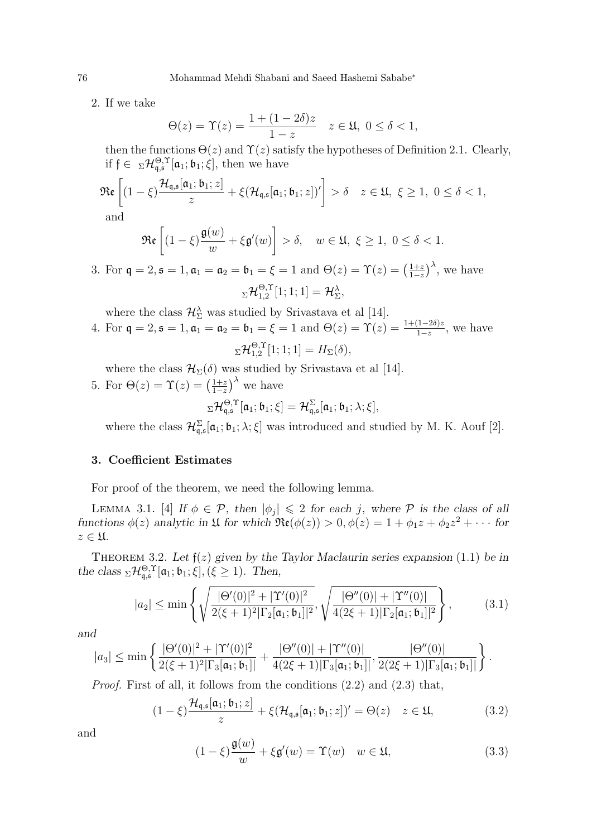2. If we take

$$
\Theta(z) = \Upsilon(z) = \frac{1 + (1 - 2\delta)z}{1 - z} \quad z \in \mathfrak{U}, \ 0 \le \delta < 1,
$$

then the functions  $\Theta(z)$  and  $\Upsilon(z)$  satisfy the hypotheses of Definition [2.1.](#page-2-0) Clearly, if  $\mathfrak{f} \in \mathbb{Z} \mathcal{H}_{\mathfrak{q},\mathfrak{s}}^{\Theta,\Upsilon}[\mathfrak{a}_1;\mathfrak{b}_1;\xi],$  then we have

$$
\mathfrak{Re}\left[ (1-\xi) \frac{\mathcal{H}_{\mathfrak{q},\mathfrak{s}}[\mathfrak{a}_1;\mathfrak{b}_1;z]}{z} + \xi(\mathcal{H}_{\mathfrak{q},\mathfrak{s}}[\mathfrak{a}_1;\mathfrak{b}_1;z])' \right] > \delta \quad z \in \mathfrak{U}, \ \xi \ge 1, \ 0 \le \delta < 1,
$$

and

$$
\mathfrak{Re}\left[ (1-\xi)\frac{\mathfrak{g}(w)}{w} + \xi \mathfrak{g}'(w) \right] > \delta, \quad w \in \mathfrak{U}, \ \xi \ge 1, \ 0 \le \delta < 1.
$$

3. For  $\mathfrak{q} = 2, \mathfrak{s} = 1, \mathfrak{a}_1 = \mathfrak{a}_2 = \mathfrak{b}_1 = \xi = 1$  and  $\Theta(z) = \Upsilon(z) = \left(\frac{1+z}{1-z}\right)$  $\frac{1+z}{1-z}$ , we have  $_\Sigma{\cal H}_{1,2}^{\Theta,\Upsilon}$  $_{1,2}^{\Theta,\Upsilon}[1;1;1]=\mathcal{H}^{\lambda}_{\Sigma},$ 

where the class  $\mathcal{H}_{\Sigma}^{\lambda}$  was studied by Srivastava et al [\[14\]](#page-6-14).

4. For  $\mathfrak{q} = 2, \mathfrak{s} = 1, \mathfrak{a}_1 = \mathfrak{a}_2 = \mathfrak{b}_1 = \xi = 1$  and  $\Theta(z) = \Upsilon(z) = \frac{1 + (1 - 2\delta)z}{1 - z}$ , we have  $_\Sigma{\cal H}_{1,2}^{\Theta,\Upsilon}$  $\mathcal{L}_{1,2}^{\Theta,1}[1;1;1] = H_{\Sigma}(\delta),$ 

where the class  $\mathcal{H}_{\Sigma}(\delta)$  was studied by Srivastava et al [\[14\]](#page-6-14).

5. For  $\Theta(z) = \Upsilon(z) = \left(\frac{1+z}{1-z}\right)$  $\frac{1+z}{1-z}$ <sup>λ</sup> we have  $\mathrm{Tr}_{\mathsf{q},\mathsf{s}}^{\Theta,\Upsilon}[\mathfrak{a}_1;\mathfrak{b}_1;\xi]=\mathcal{H}_{\mathsf{q},\mathsf{s}}^{\Sigma}[\mathfrak{a}_1;\mathfrak{b}_1;\lambda;\xi],$ 

where the class  $\mathcal{H}_{\mathfrak{q},\mathfrak{s}}^{\Sigma}[\mathfrak{a}_1;\mathfrak{b}_1;\lambda;\xi]$  was introduced and studied by M. K. Aouf [\[2\]](#page-6-15).

#### 3. Coefficient Estimates

For proof of the theorem, we need the following lemma.

LEMMA 3.1. [\[4\]](#page-6-0) If  $\phi \in \mathcal{P}$ , then  $|\phi_j| \leq 2$  for each j, where  $\mathcal P$  is the class of all functions  $\phi(z)$  analytic in  $\mathfrak U$  for which  $\Re(\phi(z)) > 0, \phi(z) = 1 + \phi_1 z + \phi_2 z^2 + \cdots$  for  $z \in \mathfrak{U}$ .

<span id="page-3-3"></span>THEOREM 3.2. Let  $f(z)$  given by the Taylor Maclaurin series expansion [\(1](#page-0-0).1) be in the class  ${}_{\Sigma}\mathcal{H}_{q,s}^{\Theta,\Upsilon}[\mathfrak{a}_1;\mathfrak{b}_1;\xi], (\xi \geq 1)$ . Then,

<span id="page-3-2"></span>
$$
|a_2| \le \min\left\{\sqrt{\frac{|\Theta'(0)|^2 + |\Upsilon'(0)|^2}{2(\xi+1)^2|\Gamma_2[\mathfrak{a}_1;\mathfrak{b}_1]|^2}}, \sqrt{\frac{|\Theta''(0)| + |\Upsilon''(0)|}{4(2\xi+1)|\Gamma_2[\mathfrak{a}_1;\mathfrak{b}_1]|^2}}\right\},
$$
(3.1)

and

$$
|a_3| \le \min\left\{ \frac{|\Theta'(0)|^2 + |\Upsilon'(0)|^2}{2(\xi+1)^2|\Gamma_3[\mathfrak{a}_1; \mathfrak{b}_1]|} + \frac{|\Theta''(0)| + |\Upsilon''(0)|}{4(2\xi+1)|\Gamma_3[\mathfrak{a}_1; \mathfrak{b}_1]|}, \frac{|\Theta''(0)|}{2(2\xi+1)|\Gamma_3[\mathfrak{a}_1; \mathfrak{b}_1]|} \right\}.
$$

Proof. First of all, it follows from the conditions (2.[2\)](#page-2-1) and [\(2](#page-2-2).3) that,

<span id="page-3-0"></span>
$$
(1 - \xi) \frac{\mathcal{H}_{\mathfrak{q},\mathfrak{s}}[\mathfrak{a}_1;\mathfrak{b}_1;z]}{z} + \xi (\mathcal{H}_{\mathfrak{q},\mathfrak{s}}[\mathfrak{a}_1;\mathfrak{b}_1;z])' = \Theta(z) \quad z \in \mathfrak{U},\tag{3.2}
$$

and

<span id="page-3-1"></span>
$$
(1 - \xi) \frac{\mathfrak{g}(w)}{w} + \xi \mathfrak{g}'(w) = \Upsilon(w) \quad w \in \mathfrak{U}, \tag{3.3}
$$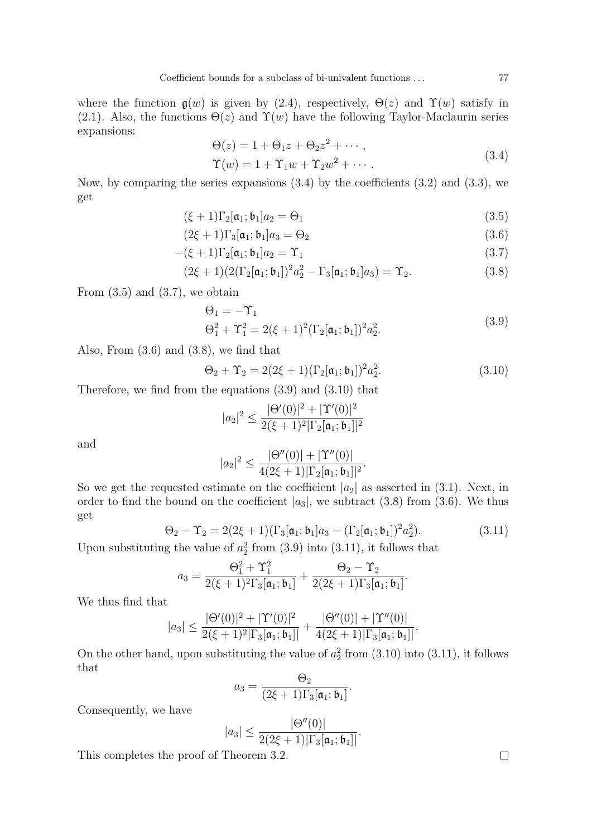where the function  $g(w)$  is given by [\(2](#page-2-3).4), respectively,  $\Theta(z)$  and  $\Upsilon(w)$  satisfy in [\(2.1\)](#page-2-4). Also, the functions  $\Theta(z)$  and  $\Upsilon(w)$  have the following Taylor-Maclaurin series expansions:

<span id="page-4-3"></span><span id="page-4-1"></span><span id="page-4-0"></span>
$$
\Theta(z) = 1 + \Theta_1 z + \Theta_2 z^2 + \cdots,
$$
  
\n
$$
\Upsilon(w) = 1 + \Upsilon_1 w + \Upsilon_2 w^2 + \cdots.
$$
\n(3.4)

Now, by comparing the series expansions  $(3.4)$  $(3.4)$  by the coefficients  $(3.2)$  $(3.2)$  and  $(3.3)$  $(3.3)$ , we get

$$
(\xi + 1)\Gamma_2[\mathfrak{a}_1; \mathfrak{b}_1]a_2 = \Theta_1 \tag{3.5}
$$

$$
(2\xi + 1)\Gamma_3[\mathfrak{a}_1; \mathfrak{b}_1]a_3 = \Theta_2 \tag{3.6}
$$

$$
-(\xi+1)\Gamma_2[\mathfrak{a}_1;\mathfrak{b}_1]a_2=\Upsilon_1\tag{3.7}
$$

$$
(2\xi + 1)(2(\Gamma_2[\mathfrak{a}_1; \mathfrak{b}_1])^2 a_2^2 - \Gamma_3[\mathfrak{a}_1; \mathfrak{b}_1] a_3) = \Upsilon_2.
$$
 (3.8)

From  $(3.5)$  and  $(3.7)$  $(3.7)$ , we obtain

<span id="page-4-5"></span><span id="page-4-4"></span><span id="page-4-2"></span>
$$
\Theta_1 = -\Upsilon_1
$$
  
\n
$$
\Theta_1^2 + \Upsilon_1^2 = 2(\xi + 1)^2 (\Gamma_2[\mathfrak{a}_1; \mathfrak{b}_1])^2 a_2^2.
$$
\n(3.9)

Also, From  $(3.6)$  $(3.6)$  and  $(3.8)$  $(3.8)$ , we find that

<span id="page-4-6"></span>
$$
\Theta_2 + \Upsilon_2 = 2(2\xi + 1)(\Gamma_2[\mathfrak{a}_1; \mathfrak{b}_1])^2 a_2^2.
$$
 (3.10)

Therefore, we find from the equations (3.[9\)](#page-4-5) and (3.[10\)](#page-4-6) that

$$
|a_2|^2 \le \frac{|\Theta'(0)|^2 + |\Upsilon'(0)|^2}{2(\xi+1)^2 |\Gamma_2[\mathfrak{a}_1; \mathfrak{b}_1]|^2}
$$

and

$$
|a_2|^2 \leq \frac{|\Theta''(0)| + |\Upsilon''(0)|}{4(2\xi + 1)|\Gamma_2[\mathfrak{a}_1; \mathfrak{b}_1]|^2}.
$$

So we get the requested estimate on the coefficient  $|a_2|$  as asserted in (3.[1\)](#page-3-2). Next, in order to find the bound on the coefficient  $|a_3|$ , we subtract [\(3](#page-4-4).8) from (3.[6\)](#page-4-3). We thus get

<span id="page-4-7"></span>
$$
\Theta_2 - \Upsilon_2 = 2(2\xi + 1)(\Gamma_3[\mathfrak{a}_1; \mathfrak{b}_1]a_3 - (\Gamma_2[\mathfrak{a}_1; \mathfrak{b}_1])^2 a_2^2).
$$
(3.11)

Upon substituting the value of  $a_2^2$  from (3.[9\)](#page-4-5) into (3.[11\)](#page-4-7), it follows that

$$
a_3 = \frac{\Theta_1^2 + \Upsilon_1^2}{2(\xi + 1)^2 \Gamma_3[\mathfrak{a}_1; \mathfrak{b}_1]} + \frac{\Theta_2 - \Upsilon_2}{2(2\xi + 1)\Gamma_3[\mathfrak{a}_1; \mathfrak{b}_1]}.
$$

We thus find that

$$
|a_3| \leq \frac{|\Theta'(0)|^2 + |\Upsilon'(0)|^2}{2(\xi+1)^2|\Gamma_3[\mathfrak{a}_1; \mathfrak{b}_1]|} + \frac{|\Theta''(0)| + |\Upsilon''(0)|}{4(2\xi+1)|\Gamma_3[\mathfrak{a}_1; \mathfrak{b}_1]|}.
$$

On the other hand, upon substituting the value of  $a_2^2$  from (3.[10\)](#page-4-6) into (3.[11\)](#page-4-7), it follows that

$$
a_3 = \frac{\Theta_2}{(2\xi + 1)\Gamma_3[\mathfrak{a}_1; \mathfrak{b}_1]}.
$$

Consequently, we have

$$
|a_3| \leq \frac{|\Theta''(0)|}{2(2\xi+1)|\Gamma_3[\mathfrak{a}_1;\mathfrak{b}_1]|}.
$$

This completes the proof of Theorem [3.2.](#page-3-3)

 $\Box$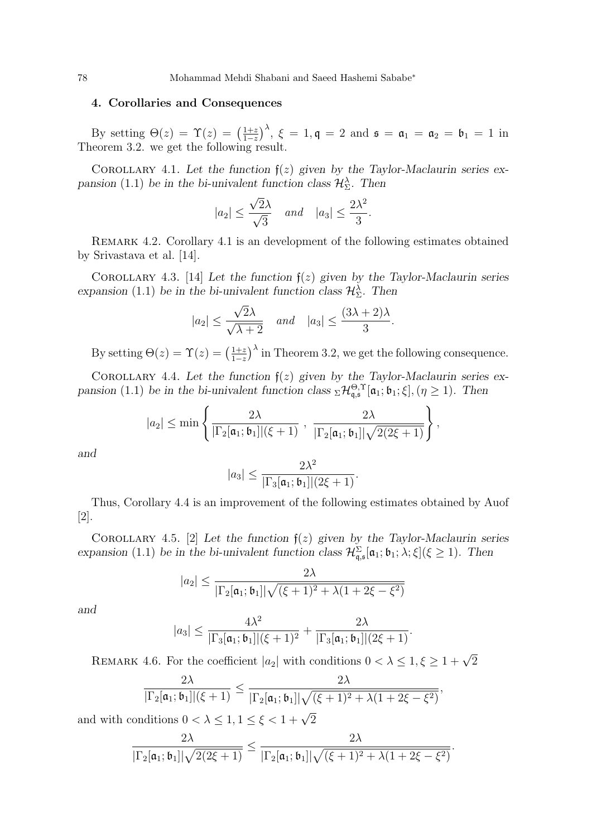### 4. Corollaries and Consequences

By setting  $\Theta(z) = \Upsilon(z) = \left(\frac{1+z}{1-z}\right)$  $\frac{1+z}{1-z}$ ,  $\xi = 1, \mathfrak{q} = 2$  and  $\mathfrak{s} = \mathfrak{a}_1 = \mathfrak{a}_2 = \mathfrak{b}_1 = 1$  in Theorem [3.2.](#page-3-3) we get the following result.

<span id="page-5-0"></span>COROLLARY 4.1. Let the function  $f(z)$  given by the Taylor-Maclaurin series ex-pansion [\(1](#page-0-0).1) be in the bi-univalent function class  $\mathcal{H}_{\Sigma}^{\lambda}$ . Then

$$
|a_2| \le \frac{\sqrt{2}\lambda}{\sqrt{3}} \quad \text{and} \quad |a_3| \le \frac{2\lambda^2}{3}.
$$

Remark 4.2. Corollary [4.1](#page-5-0) is an development of the following estimates obtained by Srivastava et al. [\[14\]](#page-6-14).

COROLLARY 4.3. [\[14\]](#page-6-14) Let the function  $f(z)$  given by the Taylor-Maclaurin series expansion (1.[1\)](#page-0-0) be in the bi-univalent function class  $\mathcal{H}_{\Sigma}^{\lambda}$ . Then

$$
|a_2| \le \frac{\sqrt{2}\lambda}{\sqrt{\lambda+2}} \quad \text{and} \quad |a_3| \le \frac{(3\lambda+2)\lambda}{3}.
$$

By setting  $\Theta(z) = \Upsilon(z) = \left(\frac{1+z}{1-z}\right)$  $\frac{1+z}{1-z}$ <sup>λ</sup> in Theorem [3.2,](#page-3-3) we get the following consequence.

<span id="page-5-1"></span>COROLLARY 4.4. Let the function  $f(z)$  given by the Taylor-Maclaurin series ex-pansion [\(1](#page-0-0).1) be in the bi-univalent function class  ${}_{\Sigma}\mathcal{H}_{\mathfrak{q},\mathfrak{s}}^{\Theta,\Upsilon}[\mathfrak{a}_1;\mathfrak{b}_1;\xi], (\eta \geq 1)$ . Then

$$
|a_2| \leq \min\left\{\frac{2\lambda}{|\Gamma_2[\mathfrak{a}_1; \mathfrak{b}_1]|(\xi+1)} \;,\; \frac{2\lambda}{|\Gamma_2[\mathfrak{a}_1; \mathfrak{b}_1]| \sqrt{2(2\xi+1)}}\right\},\;
$$

and

$$
|a_3| \leq \frac{2\lambda^2}{|\Gamma_3[\mathfrak{a}_1; \mathfrak{b}_1]|(2\xi+1)}.
$$

Thus, Corollary [4.4](#page-5-1) is an improvement of the following estimates obtained by Auof [\[2\]](#page-6-15).

COROLLARY 4.5. [\[2\]](#page-6-15) Let the function  $f(z)$  given by the Taylor-Maclaurin series expansion (1.[1\)](#page-0-0) be in the bi-univalent function class  $\mathcal{H}_{\mathfrak{q},\mathfrak{s}}^{\Sigma}[\mathfrak{a}_1;\mathfrak{b}_1;\lambda;\xi](\xi\geq 1)$ . Then

$$
|a_2| \le \frac{2\lambda}{|\Gamma_2[\mathfrak{a}_1; \mathfrak{b}_1]| \sqrt{(\xi+1)^2 + \lambda(1+2\xi-\xi^2)}}
$$

and

$$
|a_3| \leq \frac{4\lambda^2}{|\Gamma_3[\mathfrak{a}_1; \mathfrak{b}_1]|(\xi+1)^2} + \frac{2\lambda}{|\Gamma_3[\mathfrak{a}_1; \mathfrak{b}_1]|(2\xi+1)}.
$$

REMARK 4.6. For the coefficient  $|a_2|$  with conditions  $0 < \lambda \leq 1, \xi \geq 1 + \sqrt{2}$ 

$$
\frac{2\lambda}{|\Gamma_2[\mathfrak{a}_1;\mathfrak{b}_1]|(\xi+1)}\leq \frac{2\lambda}{|\Gamma_2[\mathfrak{a}_1;\mathfrak{b}_1]| \sqrt{(\xi+1)^2+\lambda(1+2\xi-\xi^2)}},
$$

and with conditions  $0 < \lambda \leq 1, 1 \leq \xi < 1 + \sqrt{2}$ 

$$
\frac{2\lambda}{|\Gamma_2[\mathfrak{a}_1;\mathfrak{b}_1]| \sqrt{2(2\xi+1)}} \leq \frac{2\lambda}{|\Gamma_2[\mathfrak{a}_1;\mathfrak{b}_1]| \sqrt{(\xi+1)^2+\lambda(1+2\xi-\xi^2)}}
$$

.

$$
78 \\
$$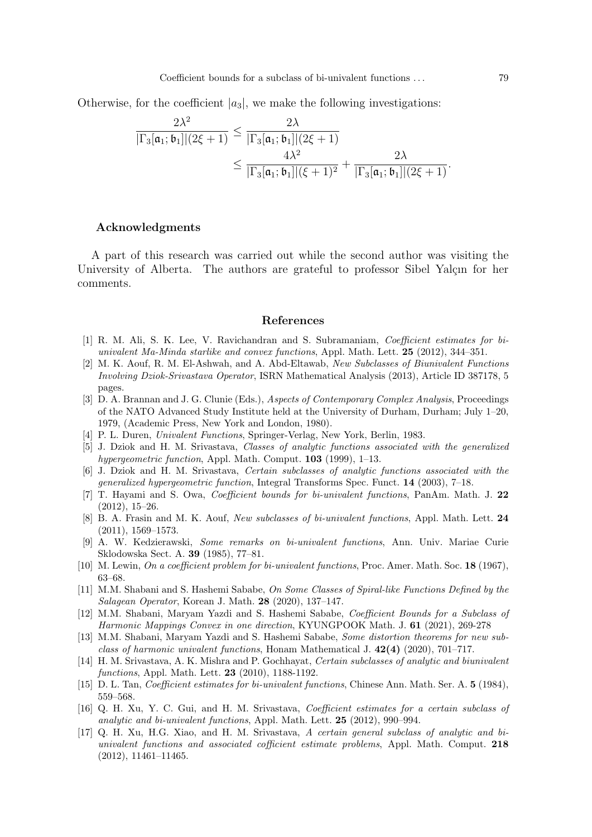Otherwise, for the coefficient  $|a_3|$ , we make the following investigations:

$$
\begin{aligned} \frac{2\lambda^2}{|\Gamma_3[\mathfrak{a}_1; \mathfrak{b}_1]|(2\xi+1)} &\leq \frac{2\lambda}{|\Gamma_3[\mathfrak{a}_1; \mathfrak{b}_1]|(2\xi+1)} \\ &\leq \frac{4\lambda^2}{|\Gamma_3[\mathfrak{a}_1; \mathfrak{b}_1]|(\xi+1)^2} + \frac{2\lambda}{|\Gamma_3[\mathfrak{a}_1; \mathfrak{b}_1]|(2\xi+1)}.\end{aligned}
$$

### Acknowledgments

A part of this research was carried out while the second author was visiting the University of Alberta. The authors are grateful to professor Sibel Yalçın for her comments.

#### References

- <span id="page-6-11"></span>[1] R. M. Ali, S. K. Lee, V. Ravichandran and S. Subramaniam, Coefficient estimates for biunivalent Ma-Minda starlike and convex functions, Appl. Math. Lett. 25 (2012), 344–351.
- <span id="page-6-15"></span>[2] M. K. Aouf, R. M. El-Ashwah, and A. Abd-Eltawab, New Subclasses of Biunivalent Functions Involving Dziok-Srivastava Operator, ISRN Mathematical Analysis (2013), Article ID 387178, 5 pages.
- <span id="page-6-2"></span>[3] D. A. Brannan and J. G. Clunie (Eds.), Aspects of Contemporary Complex Analysis, Proceedings of the NATO Advanced Study Institute held at the University of Durham, Durham; July 1–20, 1979, (Academic Press, New York and London, 1980).
- <span id="page-6-0"></span>[4] P. L. Duren, Univalent Functions, Springer-Verlag, New York, Berlin, 1983.
- <span id="page-6-12"></span>[5] J. Dziok and H. M. Srivastava, Classes of analytic functions associated with the generalized hypergeometric function, Appl. Math. Comput. **103** (1999), 1–13.
- <span id="page-6-13"></span>[6] J. Dziok and H. M. Srivastava, Certain subclasses of analytic functions associated with the generalized hypergeometric function, Integral Transforms Spec. Funct. 14 (2003), 7–18.
- <span id="page-6-5"></span>[7] T. Hayami and S. Owa, Coefficient bounds for bi-univalent functions, PanAm. Math. J. 22 (2012), 15–26.
- <span id="page-6-6"></span>[8] B. A. Frasin and M. K. Aouf, New subclasses of bi-univalent functions, Appl. Math. Lett. 24 (2011), 1569–1573.
- <span id="page-6-3"></span>[9] A. W. Kedzierawski, Some remarks on bi-univalent functions, Ann. Univ. Mariae Curie Sklodowska Sect. A. 39 (1985), 77–81.
- <span id="page-6-1"></span>[10] M. Lewin, On a coefficient problem for bi-univalent functions, Proc. Amer. Math. Soc. 18 (1967), 63–68.
- <span id="page-6-7"></span>[11] M.M. Shabani and S. Hashemi Sababe, On Some Classes of Spiral-like Functions Defined by the Salagean Operator, Korean J. Math. 28 (2020), 137–147.
- [12] M.M. Shabani, Maryam Yazdi and S. Hashemi Sababe, Coefficient Bounds for a Subclass of Harmonic Mappings Convex in one direction, KYUNGPOOK Math. J. 61 (2021), 269-278
- <span id="page-6-8"></span>[13] M.M. Shabani, Maryam Yazdi and S. Hashemi Sababe, Some distortion theorems for new subclass of harmonic univalent functions, Honam Mathematical J.  $42(4)$  (2020), 701–717.
- <span id="page-6-14"></span>[14] H. M. Srivastava, A. K. Mishra and P. Gochhayat, Certain subclasses of analytic and biunivalent functions, Appl. Math. Lett. 23 (2010), 1188-1192.
- <span id="page-6-4"></span>[15] D. L. Tan, *Coefficient estimates for bi-univalent functions*, Chinese Ann. Math. Ser. A. 5 (1984), 559–568.
- <span id="page-6-9"></span>[16] Q. H. Xu, Y. C. Gui, and H. M. Srivastava, Coefficient estimates for a certain subclass of analytic and bi-univalent functions, Appl. Math. Lett. 25 (2012), 990–994.
- <span id="page-6-10"></span>[17] Q. H. Xu, H.G. Xiao, and H. M. Srivastava, A certain general subclass of analytic and biunivalent functions and associated cofficient estimate problems, Appl. Math. Comput. 218 (2012), 11461–11465.